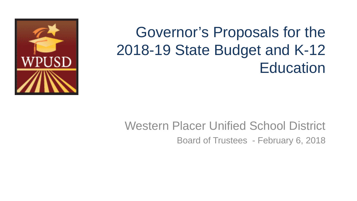

# Governor's Proposals for the 2018-19 State Budget and K-12 **Education**

#### Western Placer Unified School District Board of Trustees - February 6, 2018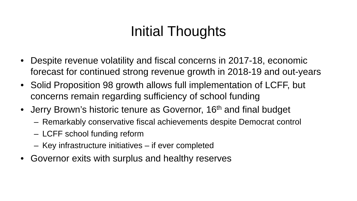# Initial Thoughts

- Despite revenue volatility and fiscal concerns in 2017-18, economic forecast for continued strong revenue growth in 2018-19 and out-years
- Solid Proposition 98 growth allows full implementation of LCFF, but concerns remain regarding sufficiency of school funding
- Jerry Brown's historic tenure as Governor, 16<sup>th</sup> and final budget
	- Remarkably conservative fiscal achievements despite Democrat control
	- LCFF school funding reform
	- Key infrastructure initiatives if ever completed
- Governor exits with surplus and healthy reserves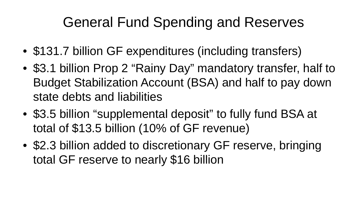# General Fund Spending and Reserves

- \$131.7 billion GF expenditures (including transfers)
- \$3.1 billion Prop 2 "Rainy Day" mandatory transfer, half to Budget Stabilization Account (BSA) and half to pay down state debts and liabilities
- \$3.5 billion "supplemental deposit" to fully fund BSA at total of \$13.5 billion (10% of GF revenue)
- \$2.3 billion added to discretionary GF reserve, bringing total GF reserve to nearly \$16 billion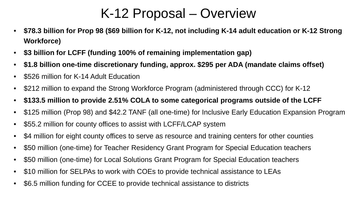#### K-12 Proposal – Overview

- **\$78.3 billion for Prop 98 (\$69 billion for K-12, not including K-14 adult education or K-12 Strong Workforce)**
- **\$3 billion for LCFF (funding 100% of remaining implementation gap)**
- **\$1.8 billion one-time discretionary funding, approx. \$295 per ADA (mandate claims offset)**
- \$526 million for K-14 Adult Education
- \$212 million to expand the Strong Workforce Program (administered through CCC) for K-12
- **\$133.5 million to provide 2.51% COLA to some categorical programs outside of the LCFF**
- \$125 million (Prop 98) and \$42.2 TANF (all one-time) for Inclusive Early Education Expansion Program
- \$55.2 million for county offices to assist with LCFF/LCAP system
- \$4 million for eight county offices to serve as resource and training centers for other counties
- \$50 million (one-time) for Teacher Residency Grant Program for Special Education teachers
- \$50 million (one-time) for Local Solutions Grant Program for Special Education teachers
- \$10 million for SELPAs to work with COEs to provide technical assistance to LEAs
- \$6.5 million funding for CCEE to provide technical assistance to districts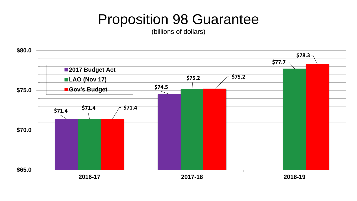### Proposition 98 Guarantee

(billions of dollars)

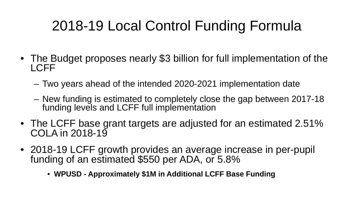# 2018-19 Local Control Funding Formula

- The Budget proposes nearly \$3 billion for full implementation of the LCFF
	- Two years ahead of the intended 2020-2021 implementation date
	- New funding is estimated to completely close the gap between 2017-18 funding levels and LCFF full implementation
- The LCFF base grant targets are adjusted for an estimated 2.51% COLA in 2018-19
- 2018-19 LCFF growth provides an average increase in per-pupil funding of an estimated \$550 per ADA, or 5.8%
	- **WPUSD - Approximately \$1M in Additional LCFF Base Funding**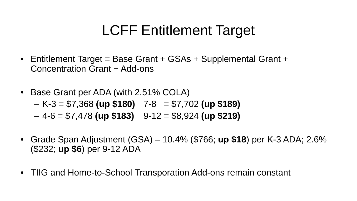## LCFF Entitlement Target

- Entitlement Target = Base Grant + GSAs + Supplemental Grant + Concentration Grant + Add-ons
- Base Grant per ADA (with 2.51% COLA)
	- K-3 = \$7,368 **(up \$180)** 7-8 = \$7,702 **(up \$189)**
	- $-4-6 = $7,478$  (up \$183)  $9-12 = $8,924$  (up \$219)
- Grade Span Adjustment (GSA) 10.4% (\$766; **up \$18**) per K-3 ADA; 2.6% (\$232; **up \$6**) per 9-12 ADA
- TIIG and Home-to-School Transporation Add-ons remain constant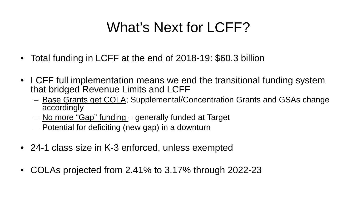# What's Next for LCFF?

- Total funding in LCFF at the end of 2018-19: \$60.3 billion
- LCFF full implementation means we end the transitional funding system that bridged Revenue Limits and LCFF
	- Base Grants get COLA; Supplemental/Concentration Grants and GSAs change accordingly
	- No more "Gap" funding generally funded at Target
	- Potential for deficiting (new gap) in a downturn
- 24-1 class size in K-3 enforced, unless exempted
- COLAs projected from 2.41% to 3.17% through 2022-23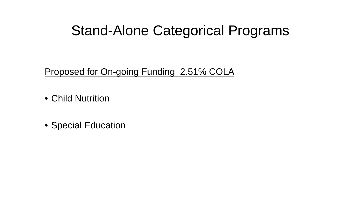#### Stand-Alone Categorical Programs

Proposed for On-going Funding 2.51% COLA

- Child Nutrition
- Special Education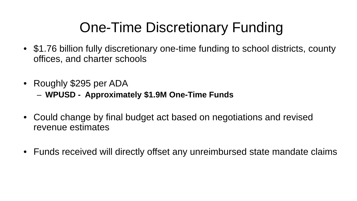# One-Time Discretionary Funding

- \$1.76 billion fully discretionary one-time funding to school districts, county offices, and charter schools
- Roughly \$295 per ADA
	- **WPUSD - Approximately \$1.9M One-Time Funds**
- Could change by final budget act based on negotiations and revised revenue estimates
- Funds received will directly offset any unreimbursed state mandate claims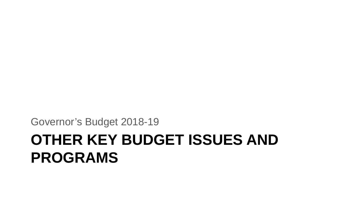# **OTHER KEY BUDGET ISSUES AND PROGRAMS**

Governor's Budget 2018-19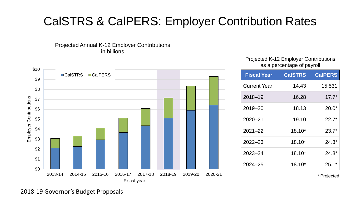#### CalSTRS & CalPERS: Employer Contribution Rates

Projected Annual K-12 Employer Contributions in billions



#### Projected K-12 Employer Contributions as a percentage of payroll

| <b>Fiscal Year</b>  | <b>CalSTRS</b> | <b>CalPERS</b> |
|---------------------|----------------|----------------|
| <b>Current Year</b> | 14.43          | 15.531         |
| $2018 - 19$         | 16.28          | $17.7*$        |
| $2019 - 20$         | 18.13          | $20.0*$        |
| $2020 - 21$         | 19.10          | $22.7*$        |
| $2021 - 22$         | $18.10*$       | $23.7*$        |
| $2022 - 23$         | $18.10*$       | $24.3*$        |
| $2023 - 24$         | $18.10*$       | $24.8*$        |
| $2024 - 25$         | $18.10*$       | $25.1*$        |

\* Projected

2018-19 Governor's Budget Proposals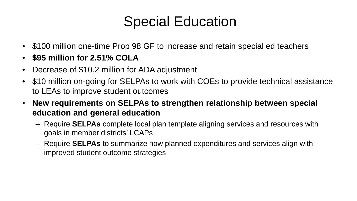### Special Education

- \$100 million one-time Prop 98 GF to increase and retain special ed teachers
- **\$95 million for 2.51% COLA**
- Decrease of \$10.2 million for ADA adjustment
- \$10 million on-going for SELPAs to work with COEs to provide technical assistance to LEAs to improve student outcomes
- **New requirements on SELPAs to strengthen relationship between special education and general education**
	- Require **SELPAs** complete local plan template aligning services and resources with goals in member districts' LCAPs
	- Require **SELPAs** to summarize how planned expenditures and services align with improved student outcome strategies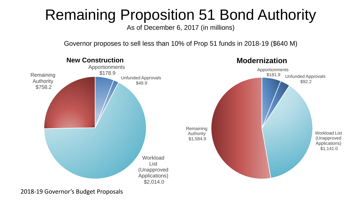# Remaining Proposition 51 Bond Authority

As of December 6, 2017 (in millions)

Governor proposes to sell less than 10% of Prop 51 funds in 2018-19 (\$640 M)



2018-19 Governor's Budget Proposals